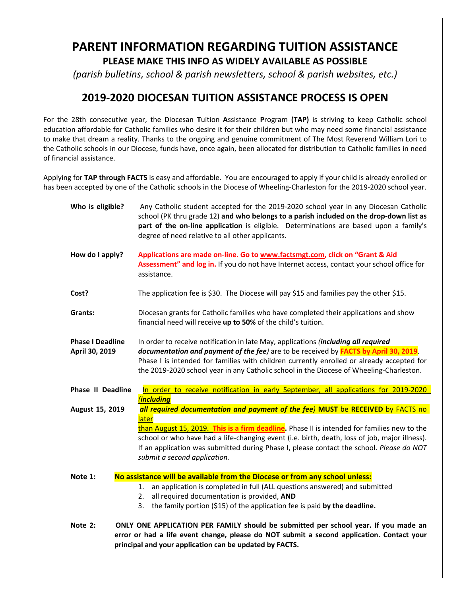## **PARENT INFORMATION REGARDING TUITION ASSISTANCE PLEASE MAKE THIS INFO AS WIDELY AVAILABLE AS POSSIBLE**

*(parish bulletins, school & parish newsletters, school & parish websites, etc.)*

## **2019-2020 DIOCESAN TUITION ASSISTANCE PROCESS IS OPEN**

For the 28th consecutive year, the Diocesan **T**uition **A**ssistance **P**rogram **(TAP)** is striving to keep Catholic school education affordable for Catholic families who desire it for their children but who may need some financial assistance to make that dream a reality. Thanks to the ongoing and genuine commitment of The Most Reverend William Lori to the Catholic schools in our Diocese, funds have, once again, been allocated for distribution to Catholic families in need of financial assistance.

Applying for **TAP through FACTS** is easy and affordable. You are encouraged to apply if your child is already enrolled or has been accepted by one of the Catholic schools in the Diocese of Wheeling-Charleston for the 2019-2020 school year.

| Who is eligible?                          | Any Catholic student accepted for the 2019-2020 school year in any Diocesan Catholic<br>school (PK thru grade 12) and who belongs to a parish included on the drop-down list as<br>part of the on-line application is eligible. Determinations are based upon a family's<br>degree of need relative to all other applicants.                                               |
|-------------------------------------------|----------------------------------------------------------------------------------------------------------------------------------------------------------------------------------------------------------------------------------------------------------------------------------------------------------------------------------------------------------------------------|
| How do I apply?                           | Applications are made on-line. Go to www.factsmgt.com, click on "Grant & Aid<br>Assessment" and log in. If you do not have Internet access, contact your school office for<br>assistance.                                                                                                                                                                                  |
| Cost?                                     | The application fee is \$30. The Diocese will pay \$15 and families pay the other \$15.                                                                                                                                                                                                                                                                                    |
| Grants:                                   | Diocesan grants for Catholic families who have completed their applications and show<br>financial need will receive up to 50% of the child's tuition.                                                                                                                                                                                                                      |
| <b>Phase I Deadline</b><br>April 30, 2019 | In order to receive notification in late May, applications (including all required<br>documentation and payment of the fee) are to be received by <b>FACTS by April 30, 2019</b> .<br>Phase I is intended for families with children currently enrolled or already accepted for<br>the 2019-2020 school year in any Catholic school in the Diocese of Wheeling-Charleston. |
| <b>Phase II Deadline</b>                  | In order to receive notification in early September, all applications for 2019-2020                                                                                                                                                                                                                                                                                        |
|                                           | <i><b>including</b></i>                                                                                                                                                                                                                                                                                                                                                    |
| August 15, 2019                           | all required documentation and payment of the fee) MUST be RECEIVED by FACTS no<br>later                                                                                                                                                                                                                                                                                   |
|                                           | than August 15, 2019. This is a firm deadline. Phase II is intended for families new to the                                                                                                                                                                                                                                                                                |
|                                           | school or who have had a life-changing event (i.e. birth, death, loss of job, major illness).<br>If an application was submitted during Phase I, please contact the school. Please do NOT<br>submit a second application.                                                                                                                                                  |
| Note 1:                                   | No assistance will be available from the Diocese or from any school unless:                                                                                                                                                                                                                                                                                                |
|                                           | 1. an application is completed in full (ALL questions answered) and submitted                                                                                                                                                                                                                                                                                              |
|                                           | all required documentation is provided, AND<br>2.                                                                                                                                                                                                                                                                                                                          |
|                                           | the family portion (\$15) of the application fee is paid by the deadline.                                                                                                                                                                                                                                                                                                  |
| Note 2:                                   | ONLY ONE APPLICATION PER FAMILY should be submitted per school year. If you made an<br>error or had a life event change, please do NOT submit a second application. Contact your<br>principal and your application can be updated by FACTS.                                                                                                                                |